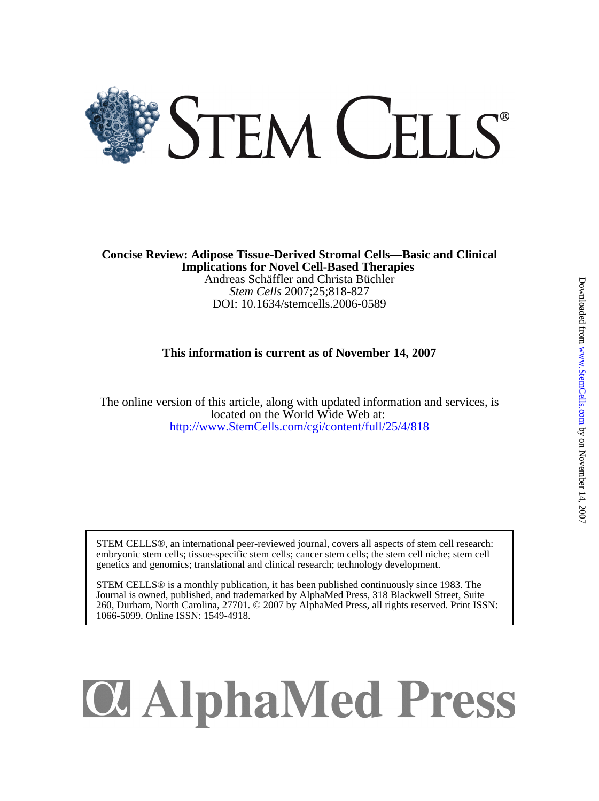

DOI: 10.1634/stemcells.2006-0589 *Stem Cells* 2007;25;818-827 Andreas Schäffler and Christa Büchler **Implications for Novel Cell-Based Therapies Concise Review: Adipose Tissue-Derived Stromal Cells—Basic and Clinical**

# **This information is current as of November 14, 2007**

<http://www.StemCells.com/cgi/content/full/25/4/818> located on the World Wide Web at: The online version of this article, along with updated information and services, is

genetics and genomics; translational and clinical research; technology development. embryonic stem cells; tissue-specific stem cells; cancer stem cells; the stem cell niche; stem cell STEM CELLS®, an international peer-reviewed journal, covers all aspects of stem cell research:

1066-5099. Online ISSN: 1549-4918. 260, Durham, North Carolina, 27701. © 2007 by AlphaMed Press, all rights reserved. Print ISSN: Journal is owned, published, and trademarked by AlphaMed Press, 318 Blackwell Street, Suite STEM CELLS® is a monthly publication, it has been published continuously since 1983. The

# **CI AlphaMed Press**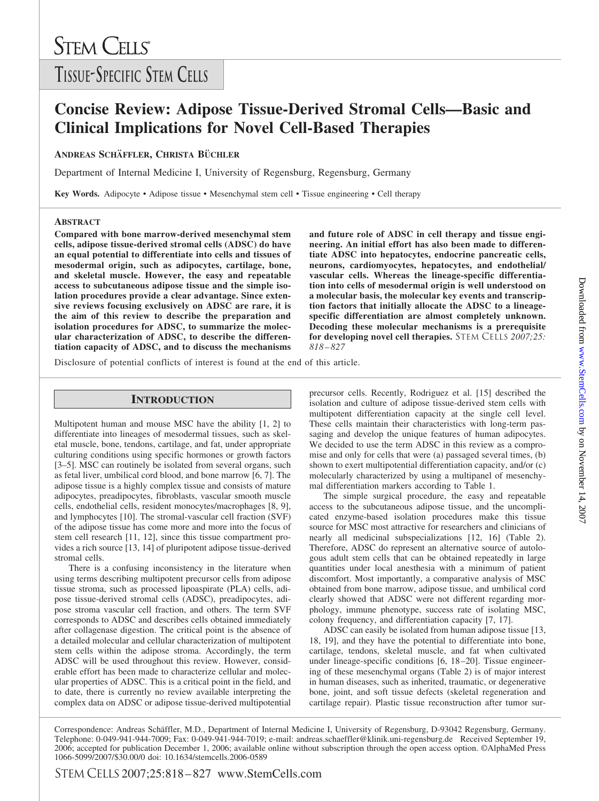# **Concise Review: Adipose Tissue-Derived Stromal Cells—Basic and Clinical Implications for Novel Cell-Based Therapies**

# **ANDREAS SCHAFFLER ¨ , CHRISTA BUCHLER ¨**

Department of Internal Medicine I, University of Regensburg, Regensburg, Germany

**Key Words.** Adipocyte • Adipose tissue • Mesenchymal stem cell • Tissue engineering • Cell therapy

#### **ABSTRACT**

**Compared with bone marrow-derived mesenchymal stem cells, adipose tissue-derived stromal cells (ADSC) do have an equal potential to differentiate into cells and tissues of mesodermal origin, such as adipocytes, cartilage, bone, and skeletal muscle. However, the easy and repeatable access to subcutaneous adipose tissue and the simple isolation procedures provide a clear advantage. Since extensive reviews focusing exclusively on ADSC are rare, it is the aim of this review to describe the preparation and isolation procedures for ADSC, to summarize the molecular characterization of ADSC, to describe the differentiation capacity of ADSC, and to discuss the mechanisms**

**and future role of ADSC in cell therapy and tissue engineering. An initial effort has also been made to differentiate ADSC into hepatocytes, endocrine pancreatic cells, neurons, cardiomyocytes, hepatocytes, and endothelial/ vascular cells. Whereas the lineage-specific differentiation into cells of mesodermal origin is well understood on a molecular basis, the molecular key events and transcription factors that initially allocate the ADSC to a lineagespecific differentiation are almost completely unknown. Decoding these molecular mechanisms is a prerequisite for developing novel cell therapies.** STEM CELLS *2007;25: 818 – 827*

Disclosure of potential conflicts of interest is found at the end of this article.

#### **INTRODUCTION**

Multipotent human and mouse MSC have the ability [1, 2] to differentiate into lineages of mesodermal tissues, such as skeletal muscle, bone, tendons, cartilage, and fat, under appropriate culturing conditions using specific hormones or growth factors [3–5]. MSC can routinely be isolated from several organs, such as fetal liver, umbilical cord blood, and bone marrow [6, 7]. The adipose tissue is a highly complex tissue and consists of mature adipocytes, preadipocytes, fibroblasts, vascular smooth muscle cells, endothelial cells, resident monocytes/macrophages [8, 9], and lymphocytes [10]. The stromal-vascular cell fraction (SVF) of the adipose tissue has come more and more into the focus of stem cell research [11, 12], since this tissue compartment provides a rich source [13, 14] of pluripotent adipose tissue-derived stromal cells.

There is a confusing inconsistency in the literature when using terms describing multipotent precursor cells from adipose tissue stroma, such as processed lipoaspirate (PLA) cells, adipose tissue-derived stromal cells (ADSC), preadipocytes, adipose stroma vascular cell fraction, and others. The term SVF corresponds to ADSC and describes cells obtained immediately after collagenase digestion. The critical point is the absence of a detailed molecular and cellular characterization of multipotent stem cells within the adipose stroma. Accordingly, the term ADSC will be used throughout this review. However, considerable effort has been made to characterize cellular and molecular properties of ADSC. This is a critical point in the field, and to date, there is currently no review available interpreting the complex data on ADSC or adipose tissue-derived multipotential

precursor cells. Recently, Rodriguez et al. [15] described the isolation and culture of adipose tissue-derived stem cells with multipotent differentiation capacity at the single cell level. These cells maintain their characteristics with long-term passaging and develop the unique features of human adipocytes. We decided to use the term ADSC in this review as a compromise and only for cells that were (a) passaged several times, (b) shown to exert multipotential differentiation capacity, and/or (c) molecularly characterized by using a multipanel of mesenchymal differentiation markers according to Table 1.

The simple surgical procedure, the easy and repeatable access to the subcutaneous adipose tissue, and the uncomplicated enzyme-based isolation procedures make this tissue source for MSC most attractive for researchers and clinicians of nearly all medicinal subspecializations [12, 16] (Table 2). Therefore, ADSC do represent an alternative source of autologous adult stem cells that can be obtained repeatedly in large quantities under local anesthesia with a minimum of patient discomfort. Most importantly, a comparative analysis of MSC obtained from bone marrow, adipose tissue, and umbilical cord clearly showed that ADSC were not different regarding morphology, immune phenotype, success rate of isolating MSC, colony frequency, and differentiation capacity [7, 17].

ADSC can easily be isolated from human adipose tissue [13, 18, 19], and they have the potential to differentiate into bone, cartilage, tendons, skeletal muscle, and fat when cultivated under lineage-specific conditions [6, 18–20]. Tissue engineering of these mesenchymal organs (Table 2) is of major interest in human diseases, such as inherited, traumatic, or degenerative bone, joint, and soft tissue defects (skeletal regeneration and cartilage repair). Plastic tissue reconstruction after tumor sur-

Correspondence: Andreas Schäffler, M.D., Department of Internal Medicine I, University of Regensburg, D-93042 Regensburg, Germany. Telephone: 0-049-941-944-7009; Fax: 0-049-941-944-7019; e-mail: andreas.schaeffler@klinik.uni-regensburg.de Received September 19, 2006; accepted for publication December 1, 2006; available online without subscription through the open access option. ©AlphaMed Press 1066-5099/2007/\$30.00/0 doi: 10.1634/stemcells.2006-0589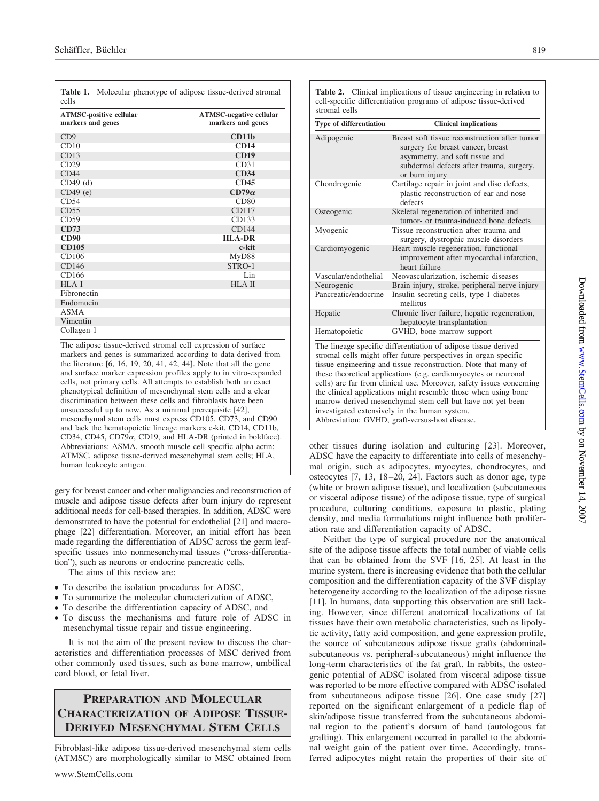| <b>Table 1.</b> Molecular phenotype of adipose tissue-derived stromal<br>cells |                                                     |
|--------------------------------------------------------------------------------|-----------------------------------------------------|
| <b>ATMSC-positive cellular</b><br>markers and genes                            | <b>ATMSC-negative cellular</b><br>markers and genes |
| CD9                                                                            | CD11b                                               |
| CD10                                                                           | CD14                                                |
| CD13                                                                           | <b>CD19</b>                                         |
| CD29                                                                           | CD31                                                |
| CD44                                                                           | <b>CD34</b>                                         |
| $CD49$ (d)                                                                     | <b>CD45</b>                                         |
| $CD49$ (e)                                                                     | $CD79\alpha$                                        |
| CD54                                                                           | CD80                                                |
| CD55                                                                           | <b>CD117</b>                                        |
| CD59                                                                           | CD133                                               |
| CD73                                                                           | <b>CD144</b>                                        |
| CD90                                                                           | <b>HLA-DR</b>                                       |
| <b>CD105</b>                                                                   | c-kit                                               |
| CD106                                                                          | MyD88                                               |
| CD146                                                                          | STRO-1                                              |
| CD166                                                                          | Lin                                                 |
| HLA I                                                                          | HLA II                                              |
| Fibronectin                                                                    |                                                     |
| Endomucin                                                                      |                                                     |
| <b>ASMA</b>                                                                    |                                                     |
| Vimentin                                                                       |                                                     |
| Collagen-1                                                                     |                                                     |

The adipose tissue-derived stromal cell expression of surface markers and genes is summarized according to data derived from the literature [6, 16, 19, 20, 41, 42, 44]. Note that all the gene and surface marker expression profiles apply to in vitro-expanded cells, not primary cells. All attempts to establish both an exact phenotypical definition of mesenchymal stem cells and a clear discrimination between these cells and fibroblasts have been unsuccessful up to now. As a minimal prerequisite [42], mesenchymal stem cells must express CD105, CD73, and CD90 and lack the hematopoietic lineage markers c-kit, CD14, CD11b, CD34, CD45, CD79 $\alpha$ , CD19, and HLA-DR (printed in boldface). Abbreviations: ASMA, smooth muscle cell-specific alpha actin; ATMSC, adipose tissue-derived mesenchymal stem cells; HLA, human leukocyte antigen.

gery for breast cancer and other malignancies and reconstruction of muscle and adipose tissue defects after burn injury do represent additional needs for cell-based therapies. In addition, ADSC were demonstrated to have the potential for endothelial [21] and macrophage [22] differentiation. Moreover, an initial effort has been made regarding the differentiation of ADSC across the germ leafspecific tissues into nonmesenchymal tissues ("cross-differentiation"), such as neurons or endocrine pancreatic cells.

The aims of this review are:

- To describe the isolation procedures for ADSC,
- To summarize the molecular characterization of ADSC,
- To describe the differentiation capacity of ADSC, and
- To discuss the mechanisms and future role of ADSC in mesenchymal tissue repair and tissue engineering.

It is not the aim of the present review to discuss the characteristics and differentiation processes of MSC derived from other commonly used tissues, such as bone marrow, umbilical cord blood, or fetal liver.

# **PREPARATION AND MOLECULAR CHARACTERIZATION OF ADIPOSE TISSUE-DERIVED MESENCHYMAL STEM CELLS**

Fibroblast-like adipose tissue-derived mesenchymal stem cells (ATMSC) are morphologically similar to MSC obtained from

Table 2. Clinical implications of tissue engineering in relation to cell-specific differentiation programs of adipose tissue-derived stromal cells

| <b>Type of differentiation</b> | <b>Clinical implications</b>                                                                                                                                                                                                                                                                                                                                                                                      |
|--------------------------------|-------------------------------------------------------------------------------------------------------------------------------------------------------------------------------------------------------------------------------------------------------------------------------------------------------------------------------------------------------------------------------------------------------------------|
| Adipogenic                     | Breast soft tissue reconstruction after tumor<br>surgery for breast cancer, breast<br>asymmetry, and soft tissue and<br>subdermal defects after trauma, surgery,<br>or burn injury                                                                                                                                                                                                                                |
| Chondrogenic                   | Cartilage repair in joint and disc defects,<br>plastic reconstruction of ear and nose<br>defects                                                                                                                                                                                                                                                                                                                  |
| Osteogenic                     | Skeletal regeneration of inherited and<br>tumor- or trauma-induced bone defects                                                                                                                                                                                                                                                                                                                                   |
| Myogenic                       | Tissue reconstruction after trauma and<br>surgery, dystrophic muscle disorders                                                                                                                                                                                                                                                                                                                                    |
| Cardiomyogenic                 | Heart muscle regeneration, functional<br>improvement after myocardial infarction,<br>heart failure                                                                                                                                                                                                                                                                                                                |
| Vascular/endothelial           | Neovascularization, ischemic diseases                                                                                                                                                                                                                                                                                                                                                                             |
| Neurogenic                     | Brain injury, stroke, peripheral nerve injury                                                                                                                                                                                                                                                                                                                                                                     |
| Pancreatic/endocrine           | Insulin-secreting cells, type 1 diabetes<br>mellitus                                                                                                                                                                                                                                                                                                                                                              |
| Hepatic                        | Chronic liver failure, hepatic regeneration,<br>hepatocyte transplantation                                                                                                                                                                                                                                                                                                                                        |
| Hematopoietic                  | GVHD, bone marrow support                                                                                                                                                                                                                                                                                                                                                                                         |
|                                | The lineage-specific differentiation of adipose tissue-derived<br>stromal cells might offer future perspectives in organ-specific<br>tissue engineering and tissue reconstruction. Note that many of<br>these theoretical applications (e.g. cardiomyocytes or neuronal<br>cells) are far from clinical use. Moreover, safety issues concerning<br>the clinical applications might resemble those when using bone |

other tissues during isolation and culturing [23]. Moreover, ADSC have the capacity to differentiate into cells of mesenchymal origin, such as adipocytes, myocytes, chondrocytes, and osteocytes [7, 13, 18–20, 24]. Factors such as donor age, type (white or brown adipose tissue), and localization (subcutaneous or visceral adipose tissue) of the adipose tissue, type of surgical procedure, culturing conditions, exposure to plastic, plating density, and media formulations might influence both proliferation rate and differentiation capacity of ADSC.

marrow-derived mesenchymal stem cell but have not yet been

investigated extensively in the human system. Abbreviation: GVHD, graft-versus-host disease.

Neither the type of surgical procedure nor the anatomical site of the adipose tissue affects the total number of viable cells that can be obtained from the SVF [16, 25]. At least in the murine system, there is increasing evidence that both the cellular composition and the differentiation capacity of the SVF display heterogeneity according to the localization of the adipose tissue [11]. In humans, data supporting this observation are still lacking. However, since different anatomical localizations of fat tissues have their own metabolic characteristics, such as lipolytic activity, fatty acid composition, and gene expression profile, the source of subcutaneous adipose tissue grafts (abdominalsubcutaneous vs. peripheral-subcutaneous) might influence the long-term characteristics of the fat graft. In rabbits, the osteogenic potential of ADSC isolated from visceral adipose tissue was reported to be more effective compared with ADSC isolated from subcutaneous adipose tissue [26]. One case study [27] reported on the significant enlargement of a pedicle flap of skin/adipose tissue transferred from the subcutaneous abdominal region to the patient's dorsum of hand (autologous fat grafting). This enlargement occurred in parallel to the abdominal weight gain of the patient over time. Accordingly, transferred adipocytes might retain the properties of their site of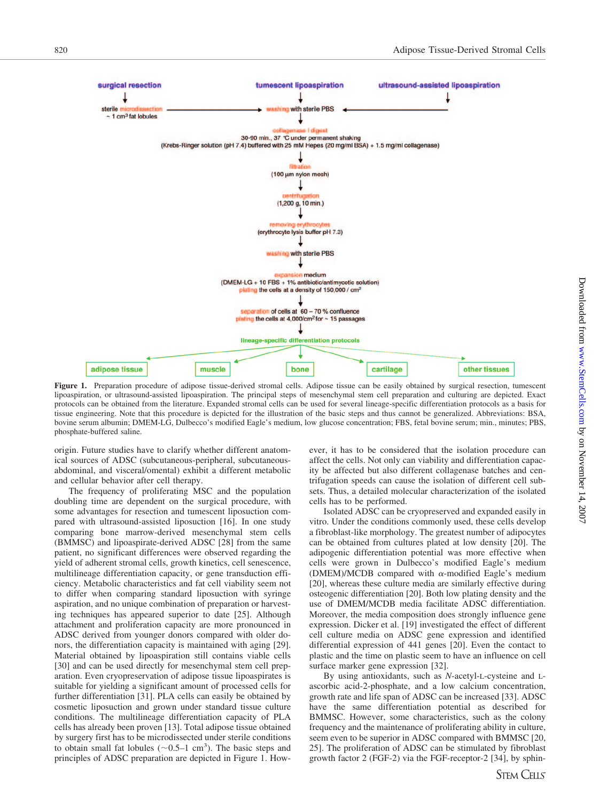

Figure 1. Preparation procedure of adipose tissue-derived stromal cells. Adipose tissue can be easily obtained by surgical resection, tumescent lipoaspiration, or ultrasound-assisted lipoaspiration. The principal steps of mesenchymal stem cell preparation and culturing are depicted. Exact protocols can be obtained from the literature. Expanded stromal cells can be used for several lineage-specific differentiation protocols as a basis for tissue engineering. Note that this procedure is depicted for the illustration of the basic steps and thus cannot be generalized. Abbreviations: BSA, bovine serum albumin; DMEM-LG, Dulbecco's modified Eagle's medium, low glucose concentration; FBS, fetal bovine serum; min., minutes; PBS, phosphate-buffered saline.

origin. Future studies have to clarify whether different anatomical sources of ADSC (subcutaneous-peripheral, subcutaneousabdominal, and visceral/omental) exhibit a different metabolic and cellular behavior after cell therapy.

The frequency of proliferating MSC and the population doubling time are dependent on the surgical procedure, with some advantages for resection and tumescent liposuction compared with ultrasound-assisted liposuction [16]. In one study comparing bone marrow-derived mesenchymal stem cells (BMMSC) and lipoaspirate-derived ADSC [28] from the same patient, no significant differences were observed regarding the yield of adherent stromal cells, growth kinetics, cell senescence, multilineage differentiation capacity, or gene transduction efficiency. Metabolic characteristics and fat cell viability seem not to differ when comparing standard liposuction with syringe aspiration, and no unique combination of preparation or harvesting techniques has appeared superior to date [25]. Although attachment and proliferation capacity are more pronounced in ADSC derived from younger donors compared with older donors, the differentiation capacity is maintained with aging [29]. Material obtained by lipoaspiration still contains viable cells [30] and can be used directly for mesenchymal stem cell preparation. Even cryopreservation of adipose tissue lipoaspirates is suitable for yielding a significant amount of processed cells for further differentiation [31]. PLA cells can easily be obtained by cosmetic liposuction and grown under standard tissue culture conditions. The multilineage differentiation capacity of PLA cells has already been proven [13]. Total adipose tissue obtained by surgery first has to be microdissected under sterile conditions to obtain small fat lobules  $({\sim}0.5-1$  cm<sup>3</sup>). The basic steps and principles of ADSC preparation are depicted in Figure 1. However, it has to be considered that the isolation procedure can affect the cells. Not only can viability and differentiation capacity be affected but also different collagenase batches and centrifugation speeds can cause the isolation of different cell subsets. Thus, a detailed molecular characterization of the isolated cells has to be performed.

Isolated ADSC can be cryopreserved and expanded easily in vitro. Under the conditions commonly used, these cells develop a fibroblast-like morphology. The greatest number of adipocytes can be obtained from cultures plated at low density [20]. The adipogenic differentiation potential was more effective when cells were grown in Dulbecco's modified Eagle's medium (DMEM)/MCDB compared with  $\alpha$ -modified Eagle's medium [20], whereas these culture media are similarly effective during osteogenic differentiation [20]. Both low plating density and the use of DMEM/MCDB media facilitate ADSC differentiation. Moreover, the media composition does strongly influence gene expression. Dicker et al. [19] investigated the effect of different cell culture media on ADSC gene expression and identified differential expression of 441 genes [20]. Even the contact to plastic and the time on plastic seem to have an influence on cell surface marker gene expression [32].

By using antioxidants, such as *N*-acetyl-L-cysteine and Lascorbic acid-2-phosphate, and a low calcium concentration, growth rate and life span of ADSC can be increased [33]. ADSC have the same differentiation potential as described for BMMSC. However, some characteristics, such as the colony frequency and the maintenance of proliferating ability in culture, seem even to be superior in ADSC compared with BMMSC [20, 25]. The proliferation of ADSC can be stimulated by fibroblast growth factor 2 (FGF-2) via the FGF-receptor-2 [34], by sphin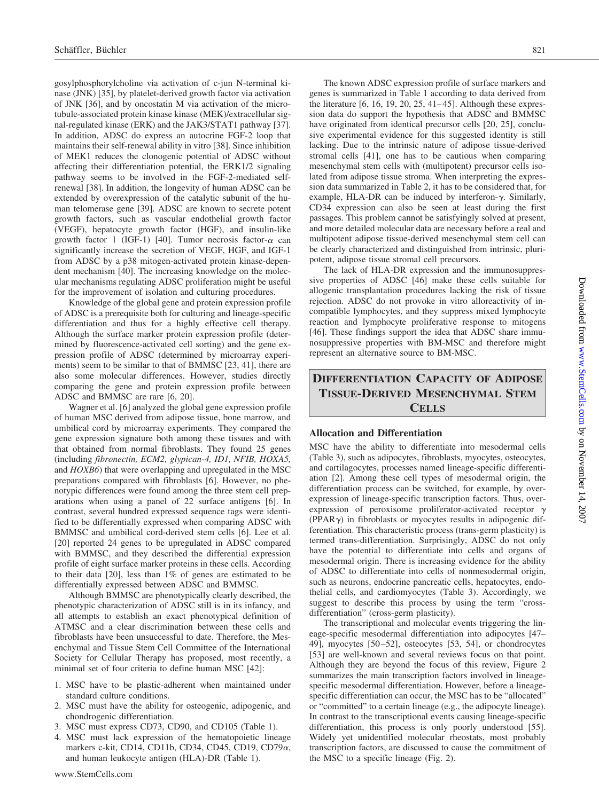gosylphosphorylcholine via activation of c-jun N-terminal kinase (JNK) [35], by platelet-derived growth factor via activation of JNK [36], and by oncostatin M via activation of the microtubule-associated protein kinase kinase (MEK)/extracellular signal-regulated kinase (ERK) and the JAK3/STAT1 pathway [37]. In addition, ADSC do express an autocrine FGF-2 loop that maintains their self-renewal ability in vitro [38]. Since inhibition of MEK1 reduces the clonogenic potential of ADSC without affecting their differentiation potential, the ERK1/2 signaling pathway seems to be involved in the FGF-2-mediated selfrenewal [38]. In addition, the longevity of human ADSC can be extended by overexpression of the catalytic subunit of the human telomerase gene [39]. ADSC are known to secrete potent growth factors, such as vascular endothelial growth factor (VEGF), hepatocyte growth factor (HGF), and insulin-like growth factor 1 (IGF-1) [40]. Tumor necrosis factor- $\alpha$  can significantly increase the secretion of VEGF, HGF, and IGF-1 from ADSC by a p38 mitogen-activated protein kinase-dependent mechanism [40]. The increasing knowledge on the molecular mechanisms regulating ADSC proliferation might be useful for the improvement of isolation and culturing procedures.

Knowledge of the global gene and protein expression profile of ADSC is a prerequisite both for culturing and lineage-specific differentiation and thus for a highly effective cell therapy. Although the surface marker protein expression profile (determined by fluorescence-activated cell sorting) and the gene expression profile of ADSC (determined by microarray experiments) seem to be similar to that of BMMSC [23, 41], there are also some molecular differences. However, studies directly comparing the gene and protein expression profile between ADSC and BMMSC are rare [6, 20].

Wagner et al. [6] analyzed the global gene expression profile of human MSC derived from adipose tissue, bone marrow, and umbilical cord by microarray experiments. They compared the gene expression signature both among these tissues and with that obtained from normal fibroblasts. They found 25 genes (including *fibronectin, ECM2, glypican-4, ID1, NFIB, HOXA5,* and *HOXB6*) that were overlapping and upregulated in the MSC preparations compared with fibroblasts [6]. However, no phenotypic differences were found among the three stem cell preparations when using a panel of 22 surface antigens [6]. In contrast, several hundred expressed sequence tags were identified to be differentially expressed when comparing ADSC with BMMSC and umbilical cord-derived stem cells [6]. Lee et al. [20] reported 24 genes to be upregulated in ADSC compared with BMMSC, and they described the differential expression profile of eight surface marker proteins in these cells. According to their data [20], less than 1% of genes are estimated to be differentially expressed between ADSC and BMMSC.

Although BMMSC are phenotypically clearly described, the phenotypic characterization of ADSC still is in its infancy, and all attempts to establish an exact phenotypical definition of ATMSC and a clear discrimination between these cells and fibroblasts have been unsuccessful to date. Therefore, the Mesenchymal and Tissue Stem Cell Committee of the International Society for Cellular Therapy has proposed, most recently, a minimal set of four criteria to define human MSC [42]:

- 1. MSC have to be plastic-adherent when maintained under standard culture conditions.
- 2. MSC must have the ability for osteogenic, adipogenic, and chondrogenic differentiation.
- 3. MSC must express CD73, CD90, and CD105 (Table 1).
- 4. MSC must lack expression of the hematopoietic lineage markers c-kit, CD14, CD11b, CD34, CD45, CD19, CD79α, and human leukocyte antigen (HLA)-DR (Table 1).

The known ADSC expression profile of surface markers and genes is summarized in Table 1 according to data derived from the literature  $[6, 16, 19, 20, 25, 41-45]$ . Although these expression data do support the hypothesis that ADSC and BMMSC have originated from identical precursor cells [20, 25], conclusive experimental evidence for this suggested identity is still lacking. Due to the intrinsic nature of adipose tissue-derived stromal cells [41], one has to be cautious when comparing mesenchymal stem cells with (multipotent) precursor cells isolated from adipose tissue stroma. When interpreting the expression data summarized in Table 2, it has to be considered that, for example, HLA-DR can be induced by interferon- $\gamma$ . Similarly, CD34 expression can also be seen at least during the first passages. This problem cannot be satisfyingly solved at present, and more detailed molecular data are necessary before a real and multipotent adipose tissue-derived mesenchymal stem cell can be clearly characterized and distinguished from intrinsic, pluripotent, adipose tissue stromal cell precursors.

The lack of HLA-DR expression and the immunosuppressive properties of ADSC [46] make these cells suitable for allogenic transplantation procedures lacking the risk of tissue rejection. ADSC do not provoke in vitro alloreactivity of incompatible lymphocytes, and they suppress mixed lymphocyte reaction and lymphocyte proliferative response to mitogens [46]. These findings support the idea that ADSC share immunosuppressive properties with BM-MSC and therefore might represent an alternative source to BM-MSC.

# **DIFFERENTIATION CAPACITY OF ADIPOSE TISSUE-DERIVED MESENCHYMAL STEM CELLS**

#### **Allocation and Differentiation**

MSC have the ability to differentiate into mesodermal cells (Table 3), such as adipocytes, fibroblasts, myocytes, osteocytes, and cartilagocytes, processes named lineage-specific differentiation [2]. Among these cell types of mesodermal origin, the differentiation process can be switched, for example, by overexpression of lineage-specific transcription factors. Thus, overexpression of peroxisome proliferator-activated receptor  $\gamma$  $(PPAR\gamma)$  in fibroblasts or myocytes results in adipogenic differentiation. This characteristic process (trans-germ plasticity) is termed trans-differentiation. Surprisingly, ADSC do not only have the potential to differentiate into cells and organs of mesodermal origin. There is increasing evidence for the ability of ADSC to differentiate into cells of nonmesodermal origin, such as neurons, endocrine pancreatic cells, hepatocytes, endothelial cells, and cardiomyocytes (Table 3). Accordingly, we suggest to describe this process by using the term "crossdifferentiation" (cross-germ plasticity).

The transcriptional and molecular events triggering the lineage-specific mesodermal differentiation into adipocytes [47– 49], myocytes [50–52], osteocytes [53, 54], or chondrocytes [53] are well-known and several reviews focus on that point. Although they are beyond the focus of this review, Figure 2 summarizes the main transcription factors involved in lineagespecific mesodermal differentiation. However, before a lineagespecific differentiation can occur, the MSC has to be "allocated" or "committed" to a certain lineage (e.g., the adipocyte lineage). In contrast to the transcriptional events causing lineage-specific differentiation, this process is only poorly understood [55]. Widely yet unidentified molecular rheostats, most probably transcription factors, are discussed to cause the commitment of the MSC to a specific lineage (Fig. 2).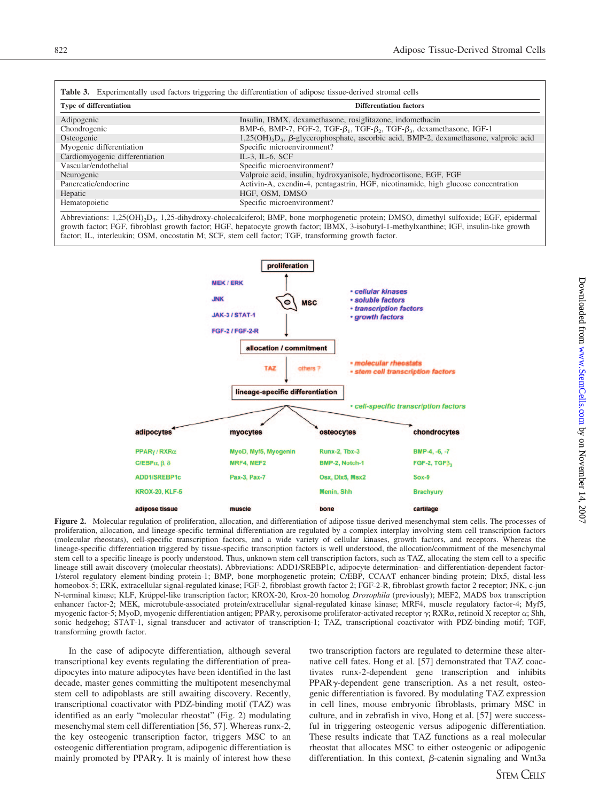| <b>Type of differentiation</b> | <b>Differentiation factors</b>                                                                     |
|--------------------------------|----------------------------------------------------------------------------------------------------|
| Adipogenic                     | Insulin, IBMX, dexamethasone, rosiglitazone, indomethacin                                          |
| Chondrogenic                   | BMP-6, BMP-7, FGF-2, TGF- $\beta_1$ , TGF- $\beta_2$ , TGF- $\beta_3$ , dexamethasone, IGF-1       |
| Osteogenic                     | $1,25(OH)$ , $D_3$ , $\beta$ -glycerophosphate, ascorbic acid, BMP-2, dexamethasone, valproic acid |
| Myogenic differentiation       | Specific microenvironment?                                                                         |
| Cardiomyogenic differentiation | IL-3, IL-6, SCF                                                                                    |
| Vascular/endothelial           | Specific microenvironment?                                                                         |
| Neurogenic                     | Valproic acid, insulin, hydroxyanisole, hydrocortisone, EGF, FGF                                   |
| Pancreatic/endocrine           | Activin-A, exendin-4, pentagastrin, HGF, nicotinamide, high glucose concentration                  |
| Hepatic                        | HGF, OSM, DMSO                                                                                     |
| Hematopoietic                  | Specific microenvironment?                                                                         |

Abbreviations:  $1,25(OH)_2D_3$ ,  $1,25$ -dihydroxy-cholecalciferol; BMP, bone morphogenetic protein; DMSO, dimethyl sulfoxide; EGF, epidermal growth factor; FGF, fibroblast growth factor; HGF, hepatocyte growth factor; IBMX, 3-isobutyl-1-methylxanthine; IGF, insulin-like growth factor; IL, interleukin; OSM, oncostatin M; SCF, stem cell factor; TGF, transforming growth factor.



**Figure 2.** Molecular regulation of proliferation, allocation, and differentiation of adipose tissue-derived mesenchymal stem cells. The processes of proliferation, allocation, and lineage-specific terminal differentiation are regulated by a complex interplay involving stem cell transcription factors (molecular rheostats), cell-specific transcription factors, and a wide variety of cellular kinases, growth factors, and receptors. Whereas the lineage-specific differentiation triggered by tissue-specific transcription factors is well understood, the allocation/commitment of the mesenchymal stem cell to a specific lineage is poorly understood. Thus, unknown stem cell transcription factors, such as TAZ, allocating the stem cell to a specific lineage still await discovery (molecular rheostats). Abbreviations: ADD1/SREBP1c, adipocyte determination- and differentiation-dependent factor-1/sterol regulatory element-binding protein-1; BMP, bone morphogenetic protein; C/EBP, CCAAT enhancer-binding protein; Dlx5, distal-less homeobox-5; ERK, extracellular signal-regulated kinase; FGF-2, fibroblast growth factor 2; FGF-2-R, fibroblast growth factor 2 receptor; JNK, c-jun N-terminal kinase; KLF, Krüppel-like transcription factor; KROX-20, Krox-20 homolog *Drosophila* (previously); MEF2, MADS box transcription enhancer factor-2; MEK, microtubule-associated protein/extracellular signal-regulated kinase kinase; MRF4, muscle regulatory factor-4; Myf5, myogenic factor-5; MyoD, myogenic differentiation antigen; PPAR $\gamma$ , peroxisome proliferator-activated receptor  $\gamma$ ; RXR $\alpha$ , retinoid X receptor  $\alpha$ ; Shh, sonic hedgehog; STAT-1, signal transducer and activator of transcription-1; TAZ, transcriptional coactivator with PDZ-binding motif; TGF, transforming growth factor.

In the case of adipocyte differentiation, although several transcriptional key events regulating the differentiation of preadipocytes into mature adipocytes have been identified in the last decade, master genes committing the multipotent mesenchymal stem cell to adipoblasts are still awaiting discovery. Recently, transcriptional coactivator with PDZ-binding motif (TAZ) was identified as an early "molecular rheostat" (Fig. 2) modulating mesenchymal stem cell differentiation [56, 57]. Whereas runx-2, the key osteogenic transcription factor, triggers MSC to an osteogenic differentiation program, adipogenic differentiation is mainly promoted by  $PPAR\gamma$ . It is mainly of interest how these

two transcription factors are regulated to determine these alternative cell fates. Hong et al. [57] demonstrated that TAZ coactivates runx-2-dependent gene transcription and inhibits PPAR<sub>y</sub>-dependent gene transcription. As a net result, osteogenic differentiation is favored. By modulating TAZ expression in cell lines, mouse embryonic fibroblasts, primary MSC in culture, and in zebrafish in vivo, Hong et al. [57] were successful in triggering osteogenic versus adipogenic differentiation. These results indicate that TAZ functions as a real molecular rheostat that allocates MSC to either osteogenic or adipogenic differentiation. In this context,  $\beta$ -catenin signaling and Wnt3a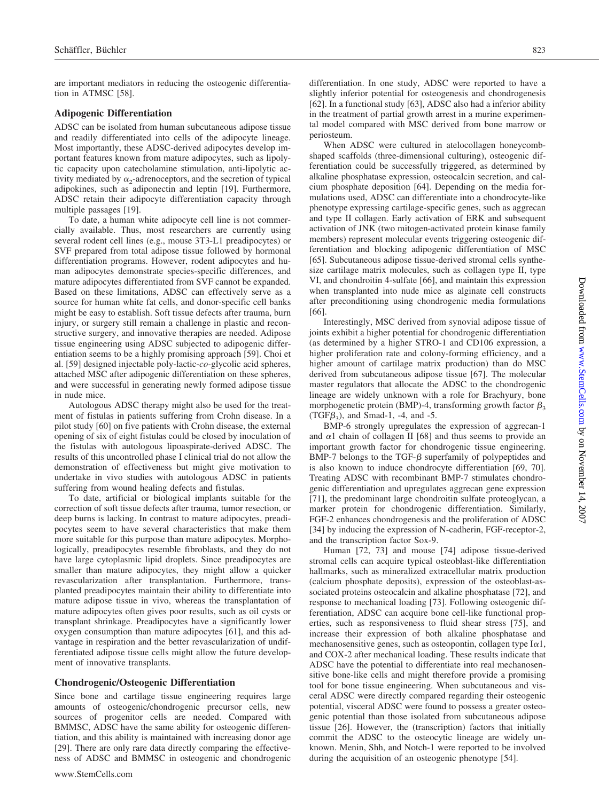are important mediators in reducing the osteogenic differentiation in ATMSC [58].

#### **Adipogenic Differentiation**

ADSC can be isolated from human subcutaneous adipose tissue and readily differentiated into cells of the adipocyte lineage. Most importantly, these ADSC-derived adipocytes develop important features known from mature adipocytes, such as lipolytic capacity upon catecholamine stimulation, anti-lipolytic activity mediated by  $\alpha_2$ -adrenoceptors, and the secretion of typical adipokines, such as adiponectin and leptin [19]. Furthermore, ADSC retain their adipocyte differentiation capacity through multiple passages [19].

To date, a human white adipocyte cell line is not commercially available. Thus, most researchers are currently using several rodent cell lines (e.g., mouse 3T3-L1 preadipocytes) or SVF prepared from total adipose tissue followed by hormonal differentiation programs. However, rodent adipocytes and human adipocytes demonstrate species-specific differences, and mature adipocytes differentiated from SVF cannot be expanded. Based on these limitations, ADSC can effectively serve as a source for human white fat cells, and donor-specific cell banks might be easy to establish. Soft tissue defects after trauma, burn injury, or surgery still remain a challenge in plastic and reconstructive surgery, and innovative therapies are needed. Adipose tissue engineering using ADSC subjected to adipogenic differentiation seems to be a highly promising approach [59]. Choi et al. [59] designed injectable poly-lactic-*co-*glycolic acid spheres, attached MSC after adipogenic differentiation on these spheres, and were successful in generating newly formed adipose tissue in nude mice.

Autologous ADSC therapy might also be used for the treatment of fistulas in patients suffering from Crohn disease. In a pilot study [60] on five patients with Crohn disease, the external opening of six of eight fistulas could be closed by inoculation of the fistulas with autologous lipoaspirate-derived ADSC. The results of this uncontrolled phase I clinical trial do not allow the demonstration of effectiveness but might give motivation to undertake in vivo studies with autologous ADSC in patients suffering from wound healing defects and fistulas.

To date, artificial or biological implants suitable for the correction of soft tissue defects after trauma, tumor resection, or deep burns is lacking. In contrast to mature adipocytes, preadipocytes seem to have several characteristics that make them more suitable for this purpose than mature adipocytes. Morphologically, preadipocytes resemble fibroblasts, and they do not have large cytoplasmic lipid droplets. Since preadipocytes are smaller than mature adipocytes, they might allow a quicker revascularization after transplantation. Furthermore, transplanted preadipocytes maintain their ability to differentiate into mature adipose tissue in vivo, whereas the transplantation of mature adipocytes often gives poor results, such as oil cysts or transplant shrinkage. Preadipocytes have a significantly lower oxygen consumption than mature adipocytes [61], and this advantage in respiration and the better revascularization of undifferentiated adipose tissue cells might allow the future development of innovative transplants.

#### **Chondrogenic/Osteogenic Differentiation**

Since bone and cartilage tissue engineering requires large amounts of osteogenic/chondrogenic precursor cells, new sources of progenitor cells are needed. Compared with BMMSC, ADSC have the same ability for osteogenic differentiation, and this ability is maintained with increasing donor age [29]. There are only rare data directly comparing the effectiveness of ADSC and BMMSC in osteogenic and chondrogenic

differentiation. In one study, ADSC were reported to have a slightly inferior potential for osteogenesis and chondrogenesis [62]. In a functional study [63], ADSC also had a inferior ability in the treatment of partial growth arrest in a murine experimental model compared with MSC derived from bone marrow or periosteum.

When ADSC were cultured in atelocollagen honeycombshaped scaffolds (three-dimensional culturing), osteogenic differentiation could be successfully triggered, as determined by alkaline phosphatase expression, osteocalcin secretion, and calcium phosphate deposition [64]. Depending on the media formulations used, ADSC can differentiate into a chondrocyte-like phenotype expressing cartilage-specific genes, such as aggrecan and type II collagen. Early activation of ERK and subsequent activation of JNK (two mitogen-activated protein kinase family members) represent molecular events triggering osteogenic differentiation and blocking adipogenic differentiation of MSC [65]. Subcutaneous adipose tissue-derived stromal cells synthesize cartilage matrix molecules, such as collagen type II, type VI, and chondroitin 4-sulfate [66], and maintain this expression when transplanted into nude mice as alginate cell constructs after preconditioning using chondrogenic media formulations [66].

Interestingly, MSC derived from synovial adipose tissue of joints exhibit a higher potential for chondrogenic differentiation (as determined by a higher STRO-1 and CD106 expression, a higher proliferation rate and colony-forming efficiency, and a higher amount of cartilage matrix production) than do MSC derived from subcutaneous adipose tissue [67]. The molecular master regulators that allocate the ADSC to the chondrogenic lineage are widely unknown with a role for Brachyury, bone morphogenetic protein (BMP)-4, transforming growth factor  $\beta_3$  $(TGF\beta_3)$ , and Smad-1, -4, and -5.

BMP-6 strongly upregulates the expression of aggrecan-1 and  $\alpha$ 1 chain of collagen II [68] and thus seems to provide an important growth factor for chondrogenic tissue engineering. BMP-7 belongs to the TGF- $\beta$  superfamily of polypeptides and is also known to induce chondrocyte differentiation [69, 70]. Treating ADSC with recombinant BMP-7 stimulates chondrogenic differentiation and upregulates aggrecan gene expression [71], the predominant large chondroitin sulfate proteoglycan, a marker protein for chondrogenic differentiation. Similarly, FGF-2 enhances chondrogenesis and the proliferation of ADSC [34] by inducing the expression of N-cadherin, FGF-receptor-2, and the transcription factor Sox-9.

Human [72, 73] and mouse [74] adipose tissue-derived stromal cells can acquire typical osteoblast-like differentiation hallmarks, such as mineralized extracellular matrix production (calcium phosphate deposits), expression of the osteoblast-associated proteins osteocalcin and alkaline phosphatase [72], and response to mechanical loading [73]. Following osteogenic differentiation, ADSC can acquire bone cell-like functional properties, such as responsiveness to fluid shear stress [75], and increase their expression of both alkaline phosphatase and mechanosensitive genes, such as osteopontin, collagen type  $I_{\alpha}$ 1, and COX-2 after mechanical loading. These results indicate that ADSC have the potential to differentiate into real mechanosensitive bone-like cells and might therefore provide a promising tool for bone tissue engineering. When subcutaneous and visceral ADSC were directly compared regarding their osteogenic potential, visceral ADSC were found to possess a greater osteogenic potential than those isolated from subcutaneous adipose tissue [26]. However, the (transcription) factors that initially commit the ADSC to the osteocytic lineage are widely unknown. Menin, Shh, and Notch-1 were reported to be involved during the acquisition of an osteogenic phenotype [54].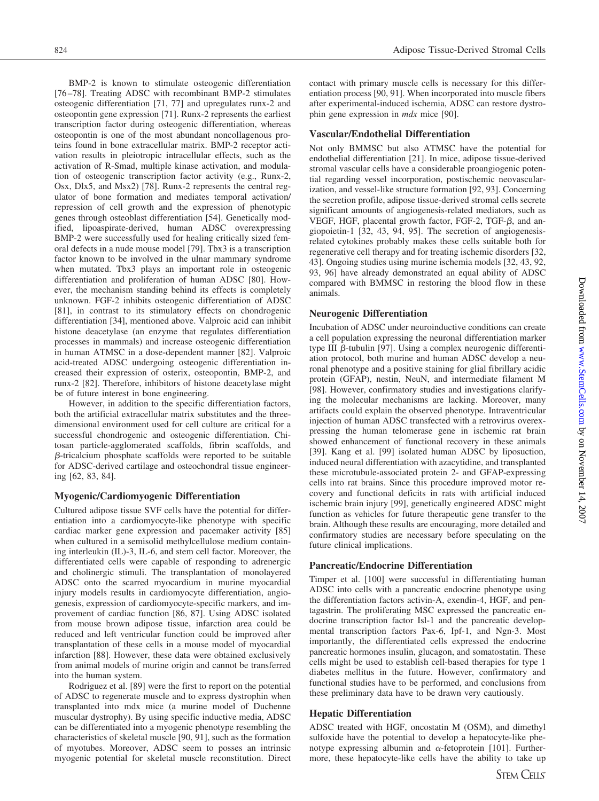BMP-2 is known to stimulate osteogenic differentiation [76–78]. Treating ADSC with recombinant BMP-2 stimulates osteogenic differentiation [71, 77] and upregulates runx-2 and osteopontin gene expression [71]. Runx-2 represents the earliest transcription factor during osteogenic differentiation, whereas osteopontin is one of the most abundant noncollagenous proteins found in bone extracellular matrix. BMP-2 receptor activation results in pleiotropic intracellular effects, such as the activation of R-Smad, multiple kinase activation, and modulation of osteogenic transcription factor activity (e.g., Runx-2, Osx, Dlx5, and Msx2) [78]. Runx-2 represents the central regulator of bone formation and mediates temporal activation/ repression of cell growth and the expression of phenotypic genes through osteoblast differentiation [54]. Genetically modified, lipoaspirate-derived, human ADSC overexpressing BMP-2 were successfully used for healing critically sized femoral defects in a nude mouse model [79]. Tbx3 is a transcription factor known to be involved in the ulnar mammary syndrome when mutated. Tbx3 plays an important role in osteogenic differentiation and proliferation of human ADSC [80]. However, the mechanism standing behind its effects is completely unknown. FGF-2 inhibits osteogenic differentiation of ADSC [81], in contrast to its stimulatory effects on chondrogenic differentiation [34], mentioned above. Valproic acid can inhibit histone deacetylase (an enzyme that regulates differentiation processes in mammals) and increase osteogenic differentiation in human ATMSC in a dose-dependent manner [82]. Valproic acid-treated ADSC undergoing osteogenic differentiation increased their expression of osterix, osteopontin, BMP-2, and runx-2 [82]. Therefore, inhibitors of histone deacetylase might be of future interest in bone engineering.

However, in addition to the specific differentiation factors, both the artificial extracellular matrix substitutes and the threedimensional environment used for cell culture are critical for a successful chondrogenic and osteogenic differentiation. Chitosan particle-agglomerated scaffolds, fibrin scaffolds, and  $\beta$ -tricalcium phosphate scaffolds were reported to be suitable for ADSC-derived cartilage and osteochondral tissue engineering [62, 83, 84].

#### **Myogenic/Cardiomyogenic Differentiation**

Cultured adipose tissue SVF cells have the potential for differentiation into a cardiomyocyte-like phenotype with specific cardiac marker gene expression and pacemaker activity [85] when cultured in a semisolid methylcellulose medium containing interleukin (IL)-3, IL-6, and stem cell factor. Moreover, the differentiated cells were capable of responding to adrenergic and cholinergic stimuli. The transplantation of monolayered ADSC onto the scarred myocardium in murine myocardial injury models results in cardiomyocyte differentiation, angiogenesis, expression of cardiomyocyte-specific markers, and improvement of cardiac function [86, 87]. Using ADSC isolated from mouse brown adipose tissue, infarction area could be reduced and left ventricular function could be improved after transplantation of these cells in a mouse model of myocardial infarction [88]. However, these data were obtained exclusively from animal models of murine origin and cannot be transferred into the human system.

Rodriguez et al. [89] were the first to report on the potential of ADSC to regenerate muscle and to express dystrophin when transplanted into mdx mice (a murine model of Duchenne muscular dystrophy). By using specific inductive media, ADSC can be differentiated into a myogenic phenotype resembling the characteristics of skeletal muscle [90, 91], such as the formation of myotubes. Moreover, ADSC seem to posses an intrinsic myogenic potential for skeletal muscle reconstitution. Direct contact with primary muscle cells is necessary for this differentiation process [90, 91]. When incorporated into muscle fibers after experimental-induced ischemia, ADSC can restore dystrophin gene expression in *mdx* mice [90].

#### **Vascular/Endothelial Differentiation**

Not only BMMSC but also ATMSC have the potential for endothelial differentiation [21]. In mice, adipose tissue-derived stromal vascular cells have a considerable proangiogenic potential regarding vessel incorporation, postischemic neovascularization, and vessel-like structure formation [92, 93]. Concerning the secretion profile, adipose tissue-derived stromal cells secrete significant amounts of angiogenesis-related mediators, such as VEGF, HGF, placental growth factor, FGF-2, TGF- $\beta$ , and angiopoietin-1 [32, 43, 94, 95]. The secretion of angiogenesisrelated cytokines probably makes these cells suitable both for regenerative cell therapy and for treating ischemic disorders [32, 43]. Ongoing studies using murine ischemia models [32, 43, 92, 93, 96] have already demonstrated an equal ability of ADSC compared with BMMSC in restoring the blood flow in these animals.

#### **Neurogenic Differentiation**

Incubation of ADSC under neuroinductive conditions can create a cell population expressing the neuronal differentiation marker type III  $\beta$ -tubulin [97]. Using a complex neurogenic differentiation protocol, both murine and human ADSC develop a neuronal phenotype and a positive staining for glial fibrillary acidic protein (GFAP), nestin, NeuN, and intermediate filament M [98]. However, confirmatory studies and investigations clarifying the molecular mechanisms are lacking. Moreover, many artifacts could explain the observed phenotype. Intraventricular injection of human ADSC transfected with a retrovirus overexpressing the human telomerase gene in ischemic rat brain showed enhancement of functional recovery in these animals [39]. Kang et al. [99] isolated human ADSC by liposuction, induced neural differentiation with azacytidine, and transplanted these microtubule-associated protein 2- and GFAP-expressing cells into rat brains. Since this procedure improved motor recovery and functional deficits in rats with artificial induced ischemic brain injury [99], genetically engineered ADSC might function as vehicles for future therapeutic gene transfer to the brain. Although these results are encouraging, more detailed and confirmatory studies are necessary before speculating on the future clinical implications.

#### **Pancreatic/Endocrine Differentiation**

Timper et al. [100] were successful in differentiating human ADSC into cells with a pancreatic endocrine phenotype using the differentiation factors activin-A, exendin-4, HGF, and pentagastrin. The proliferating MSC expressed the pancreatic endocrine transcription factor Isl-1 and the pancreatic developmental transcription factors Pax-6, Ipf-1, and Ngn-3. Most importantly, the differentiated cells expressed the endocrine pancreatic hormones insulin, glucagon, and somatostatin. These cells might be used to establish cell-based therapies for type 1 diabetes mellitus in the future. However, confirmatory and functional studies have to be performed, and conclusions from these preliminary data have to be drawn very cautiously.

#### **Hepatic Differentiation**

ADSC treated with HGF, oncostatin M (OSM), and dimethyl sulfoxide have the potential to develop a hepatocyte-like phenotype expressing albumin and  $\alpha$ -fetoprotein [101]. Furthermore, these hepatocyte-like cells have the ability to take up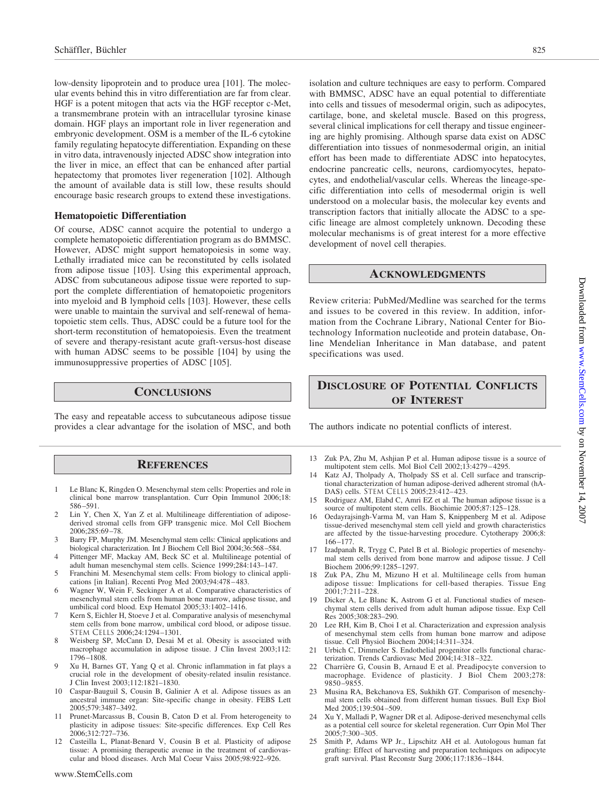low-density lipoprotein and to produce urea [101]. The molecular events behind this in vitro differentiation are far from clear. HGF is a potent mitogen that acts via the HGF receptor c-Met, a transmembrane protein with an intracellular tyrosine kinase domain. HGF plays an important role in liver regeneration and embryonic development. OSM is a member of the IL-6 cytokine family regulating hepatocyte differentiation. Expanding on these in vitro data, intravenously injected ADSC show integration into the liver in mice, an effect that can be enhanced after partial hepatectomy that promotes liver regeneration [102]. Although the amount of available data is still low, these results should encourage basic research groups to extend these investigations.

#### **Hematopoietic Differentiation**

Of course, ADSC cannot acquire the potential to undergo a complete hematopoietic differentiation program as do BMMSC. However, ADSC might support hematopoiesis in some way. Lethally irradiated mice can be reconstituted by cells isolated from adipose tissue [103]. Using this experimental approach, ADSC from subcutaneous adipose tissue were reported to support the complete differentiation of hematopoietic progenitors into myeloid and B lymphoid cells [103]. However, these cells were unable to maintain the survival and self-renewal of hematopoietic stem cells. Thus, ADSC could be a future tool for the short-term reconstitution of hematopoiesis. Even the treatment of severe and therapy-resistant acute graft-versus-host disease with human ADSC seems to be possible [104] by using the immunosuppressive properties of ADSC [105].

#### **CONCLUSIONS**

The easy and repeatable access to subcutaneous adipose tissue provides a clear advantage for the isolation of MSC, and both

#### **REFERENCES**

- 1 Le Blanc K, Ringden O. Mesenchymal stem cells: Properties and role in clinical bone marrow transplantation. Curr Opin Immunol 2006;18: 586–591.
- 2 Lin Y, Chen X, Yan Z et al. Multilineage differentiation of adiposederived stromal cells from GFP transgenic mice. Mol Cell Biochem 2006;285:69–78.
- 3 Barry FP, Murphy JM. Mesenchymal stem cells: Clinical applications and biological characterization. Int J Biochem Cell Biol 2004;36:568–584.
- 4 Pittenger MF, Mackay AM, Beck SC et al. Multilineage potential of adult human mesenchymal stem cells. Science 1999;284:143–147.
- 5 Franchini M. Mesenchymal stem cells: From biology to clinical applications [in Italian]. Recenti Prog Med 2003;94:478–483.
- 6 Wagner W, Wein F, Seckinger A et al. Comparative characteristics of mesenchymal stem cells from human bone marrow, adipose tissue, and umbilical cord blood. Exp Hematol 2005;33:1402–1416.
- 7 Kern S, Eichler H, Stoeve J et al. Comparative analysis of mesenchymal stem cells from bone marrow, umbilical cord blood, or adipose tissue. STEM CELLS 2006;24:1294–1301.
- 8 Weisberg SP, McCann D, Desai M et al. Obesity is associated with macrophage accumulation in adipose tissue. J Clin Invest 2003;112: 1796–1808.
- 9 Xu H, Barnes GT, Yang Q et al. Chronic inflammation in fat plays a crucial role in the development of obesity-related insulin resistance. J Clin Invest 2003;112:1821–1830.
- 10 Caspar-Bauguil S, Cousin B, Galinier A et al. Adipose tissues as an ancestral immune organ: Site-specific change in obesity. FEBS Lett 2005;579:3487–3492.
- 11 Prunet-Marcassus B, Cousin B, Caton D et al. From heterogeneity to plasticity in adipose tissues: Site-specific differences. Exp Cell Res 2006;312:727–736.
- 12 Casteilla L, Planat-Benard V, Cousin B et al. Plasticity of adipose tissue: A promising therapeutic avenue in the treatment of cardiovascular and blood diseases. Arch Mal Coeur Vaiss 2005;98:922–926.

isolation and culture techniques are easy to perform. Compared with BMMSC, ADSC have an equal potential to differentiate into cells and tissues of mesodermal origin, such as adipocytes, cartilage, bone, and skeletal muscle. Based on this progress, several clinical implications for cell therapy and tissue engineering are highly promising. Although sparse data exist on ADSC differentiation into tissues of nonmesodermal origin, an initial effort has been made to differentiate ADSC into hepatocytes, endocrine pancreatic cells, neurons, cardiomyocytes, hepatocytes, and endothelial/vascular cells. Whereas the lineage-specific differentiation into cells of mesodermal origin is well understood on a molecular basis, the molecular key events and transcription factors that initially allocate the ADSC to a specific lineage are almost completely unknown. Decoding these molecular mechanisms is of great interest for a more effective development of novel cell therapies.

#### **ACKNOWLEDGMENTS**

Review criteria: PubMed/Medline was searched for the terms and issues to be covered in this review. In addition, information from the Cochrane Library, National Center for Biotechnology Information nucleotide and protein database, Online Mendelian Inheritance in Man database, and patent specifications was used.

# **DISCLOSURE OF POTENTIAL CONFLICTS OF INTEREST**

The authors indicate no potential conflicts of interest.

- 13 Zuk PA, Zhu M, Ashjian P et al. Human adipose tissue is a source of multipotent stem cells. Mol Biol Cell 2002;13:4279–4295.
- 14 Katz AJ, Tholpady A, Tholpady SS et al. Cell surface and transcriptional characterization of human adipose-derived adherent stromal (hA-DAS) cells. STEM CELLS 2005;23:412–423.
- 15 Rodriguez AM, Elabd C, Amri EZ et al. The human adipose tissue is a source of multipotent stem cells. Biochimie 2005;87:125–128.
- 16 Oedayrajsingh-Varma M, van Ham S, Knippenberg M et al. Adipose tissue-derived mesenchymal stem cell yield and growth characteristics are affected by the tissue-harvesting procedure. Cytotherapy 2006;8: 166–177.
- 17 Izadpanah R, Trygg C, Patel B et al. Biologic properties of mesenchymal stem cells derived from bone marrow and adipose tissue. J Cell Biochem 2006;99:1285–1297.
- 18 Zuk PA, Zhu M, Mizuno H et al. Multilineage cells from human adipose tissue: Implications for cell-based therapies. Tissue Eng 2001;7:211–228.
- 19 Dicker A, Le Blanc K, Astrom G et al. Functional studies of mesenchymal stem cells derived from adult human adipose tissue. Exp Cell Res 2005;308:283–290.
- 20 Lee RH, Kim B, Choi I et al. Characterization and expression analysis of mesenchymal stem cells from human bone marrow and adipose tissue. Cell Physiol Biochem 2004;14:311–324.
- 21 Urbich C, Dimmeler S. Endothelial progenitor cells functional characterization. Trends Cardiovasc Med 2004;14:318–322.
- 22 Charrière G, Cousin B, Arnaud E et al. Preadipocyte conversion to macrophage. Evidence of plasticity. J Biol Chem 2003;278: 9850–9855.
- 23 Musina RA, Bekchanova ES, Sukhikh GT. Comparison of mesenchymal stem cells obtained from different human tissues. Bull Exp Biol Med 2005;139:504–509.
- 24 Xu Y, Malladi P, Wagner DR et al. Adipose-derived mesenchymal cells as a potential cell source for skeletal regeneration. Curr Opin Mol Ther 2005;7:300–305.
- 25 Smith P, Adams WP Jr., Lipschitz AH et al. Autologous human fat grafting: Effect of harvesting and preparation techniques on adipocyte graft survival. Plast Reconstr Surg 2006;117:1836–1844.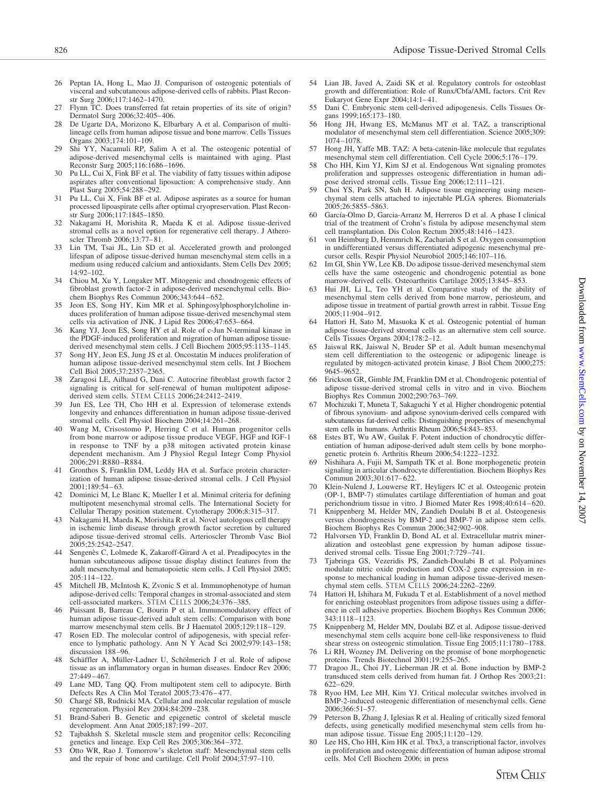- 26 Peptan IA, Hong L, Mao JJ. Comparison of osteogenic potentials of visceral and subcutaneous adipose-derived cells of rabbits. Plast Reconstr Surg 2006;117:1462–1470.
- 27 Flynn TC. Does transferred fat retain properties of its site of origin? Dermatol Surg 2006;32:405–406.
- 28 De Ugarte DA, Morizono K, Elbarbary A et al. Comparison of multilineage cells from human adipose tissue and bone marrow. Cells Tissues Organs 2003;174:101–109.
- 29 Shi YY, Nacamuli RP, Salim A et al. The osteogenic potential of adipose-derived mesenchymal cells is maintained with aging. Plast Reconstr Surg 2005;116:1686–1696.
- 30 Pu LL, Cui X, Fink BF et al. The viability of fatty tissues within adipose aspirates after conventional liposuction: A comprehensive study. Ann Plast Surg 2005;54:288–292.
- 31 Pu LL, Cui X, Fink BF et al. Adipose aspirates as a source for human processed lipoaspirate cells after optimal cryopreservation. Plast Reconstr Surg 2006;117:1845–1850.
- 32 Nakagami H, Morishita R, Maeda K et al. Adipose tissue-derived stromal cells as a novel option for regenerative cell therapy. J Atheroscler Thromb 2006;13:77–81.
- 33 Lin TM, Tsai JL, Lin SD et al. Accelerated growth and prolonged lifespan of adipose tissue-derived human mesenchymal stem cells in a medium using reduced calcium and antioxidants. Stem Cells Dev 2005; 14:92–102.
- 34 Chiou M, Xu Y, Longaker MT. Mitogenic and chondrogenic effects of fibroblast growth factor-2 in adipose-derived mesenchymal cells. Biochem Biophys Res Commun 2006;343:644–652.
- 35 Jeon ES, Song HY, Kim MR et al. Sphingosylphosphorylcholine induces proliferation of human adipose tissue-derived mesenchymal stem cells via activation of JNK. J Lipid Res 2006;47:653–664.
- 36 Kang YJ, Jeon ES, Song HY et al. Role of c-Jun N-terminal kinase in the PDGF-induced proliferation and migration of human adipose tissuederived mesenchymal stem cells. J Cell Biochem 2005;95:1135–1145.
- 37 Song HY, Jeon ES, Jung JS et al. Oncostatin M induces proliferation of human adipose tissue-derived mesenchymal stem cells. Int J Biochem Cell Biol 2005;37:2357–2365.
- 38 Zaragosi LE, Ailhaud G, Dani C. Autocrine fibroblast growth factor 2 signaling is critical for self-renewal of human multipotent adiposederived stem cells. STEM CELLS 2006;24:2412–2419.
- 39 Jun ES, Lee TH, Cho HH et al. Expression of telomerase extends longevity and enhances differentiation in human adipose tissue-derived stromal cells. Cell Physiol Biochem 2004;14:261–268.
- 40 Wang M, Crisostomo P, Herring C et al. Human progenitor cells from bone marrow or adipose tissue produce VEGF, HGF and IGF-1 in response to TNF by a p38 mitogen activated protein kinase dependent mechanism. Am J Physiol Regul Integr Comp Physiol 2006;291:R880–R884.
- 41 Gronthos S, Franklin DM, Leddy HA et al. Surface protein characterization of human adipose tissue-derived stromal cells. J Cell Physiol  $2001:189:54-63$
- 42 Dominici M, Le Blanc K, Mueller I et al. Minimal criteria for defining multipotent mesenchymal stromal cells. The International Society for Cellular Therapy position statement. Cytotherapy 2006;8:315–317.
- Nakagami H, Maeda K, Morishita R et al. Novel autologous cell therapy in ischemic limb disease through growth factor secretion by cultured adipose tissue-derived stromal cells. Arterioscler Thromb Vasc Biol 2005;25:2542–2547.
- Sengenès C, Lolmede K, Zakaroff-Girard A et al. Preadipocytes in the human subcutaneous adipose tissue display distinct features from the adult mesenchymal and hematopoietic stem cells. J Cell Physiol 2005; 205:114–122.
- 45 Mitchell JB, McIntosh K, Zvonic S et al. Immunophenotype of human adipose-derived cells: Temporal changes in stromal-associated and stem cell-associated markers. STEM CELLS 2006;24:376–385.
- 46 Puissant B, Barreau C, Bourin P et al. Immunomodulatory effect of human adipose tissue-derived adult stem cells: Comparison with bone marrow mesenchymal stem cells. Br J Haematol 2005;129:118–129.
- 47 Rosen ED. The molecular control of adipogenesis, with special reference to lymphatic pathology. Ann N Y Acad Sci 2002;979:143–158; discussion 188–96.
- 48 Schäffler A, Müller-Ladner U, Schölmerich J et al. Role of adipose tissue as an inflammatory organ in human diseases. Endocr Rev 2006;  $27.449 - 467$
- 49 Lane MD, Tang QQ. From multipotent stem cell to adipocyte. Birth Defects Res A Clin Mol Teratol 2005;73:476–477.
- 50 Charge´ SB, Rudnicki MA. Cellular and molecular regulation of muscle regeneration. Physiol Rev 2004;84:209–238.
- 51 Brand-Saberi B. Genetic and epigenetic control of skeletal muscle development. Ann Anat 2005;187:199–207.
- 52 Tajbakhsh S. Skeletal muscle stem and progenitor cells: Reconciling genetics and lineage. Exp Cell Res 2005;306:364–372.
- 53 Otto WR, Rao J. Tomorrow's skeleton staff: Mesenchymal stem cells and the repair of bone and cartilage. Cell Prolif 2004;37:97–110.
- 54 Lian JB, Javed A, Zaidi SK et al. Regulatory controls for osteoblast growth and differentiation: Role of Runx/Cbfa/AML factors. Crit Rev Eukaryot Gene Expr 2004;14:1–41.
- 55 Dani C. Embryonic stem cell-derived adipogenesis. Cells Tissues Organs 1999;165:173–180.
- 56 Hong JH, Hwang ES, McManus MT et al. TAZ, a transcriptional modulator of mesenchymal stem cell differentiation. Science 2005;309: 1074–1078.
- 57 Hong JH, Yaffe MB. TAZ: A beta-catenin-like molecule that regulates mesenchymal stem cell differentiation. Cell Cycle 2006;5:176–179.
- 58 Cho HH, Kim YJ, Kim SJ et al. Endogenous Wnt signaling promotes proliferation and suppresses osteogenic differentiation in human adipose derived stromal cells. Tissue Eng  $2006;12:111-121$ .
- 59 Choi YS, Park SN, Suh H. Adipose tissue engineering using mesenchymal stem cells attached to injectable PLGA spheres. Biomaterials 2005;26:5855–5863.
- 60 Garcı´a-Olmo D, Garcia-Arranz M, Herreros D et al. A phase I clinical trial of the treatment of Crohn's fistula by adipose mesenchymal stem cell transplantation. Dis Colon Rectum 2005;48:1416–1423.
- von Heimburg D, Hemmrich K, Zachariah S et al. Oxygen consumption in undifferentiated versus differentiated adipogenic mesenchymal precursor cells. Respir Physiol Neurobiol 2005;146:107–116.
- Im GI, Shin YW, Lee KB. Do adipose tissue-derived mesenchymal stem cells have the same osteogenic and chondrogenic potential as bone marrow-derived cells. Osteoarthritis Cartilage 2005;13:845–853.
- 63 Hui JH, Li L, Teo YH et al. Comparative study of the ability of mesenchymal stem cells derived from bone marrow, periosteum, and adipose tissue in treatment of partial growth arrest in rabbit. Tissue Eng 2005;11:904–912.
- 64 Hattori H, Sato M, Masuoka K et al. Osteogenic potential of human adipose tissue-derived stromal cells as an alternative stem cell source. Cells Tissues Organs 2004;178:2–12.
- Jaiswal RK, Jaiswal N, Bruder SP et al. Adult human mesenchymal stem cell differentiation to the osteogenic or adipogenic lineage is regulated by mitogen-activated protein kinase. J Biol Chem 2000;275: 9645–9652.
- 66 Erickson GR, Gimble JM, Franklin DM et al. Chondrogenic potential of adipose tissue-derived stromal cells in vitro and in vivo. Biochem Biophys Res Commun 2002;290:763–769.
- 67 Mochizuki T, Muneta T, Sakaguchi Y et al. Higher chondrogenic potential of fibrous synovium- and adipose synovium-derived cells compared with subcutaneous fat-derived cells: Distinguishing properties of mesenchymal stem cells in humans. Arthritis Rheum 2006;54:843–853.
- 68 Estes BT, Wu AW, Guilak F. Potent induction of chondrocytic differentiation of human adipose-derived adult stem cells by bone morphogenetic protein 6. Arthritis Rheum 2006;54:1222–1232.
- 69 Nishihara A, Fujii M, Sampath TK et al. Bone morphogenetic protein signaling in articular chondrocyte differentiation. Biochem Biophys Res Commun 2003;301:617–622.
- 70 Klein-Nulend J, Louwerse RT, Heyligers IC et al. Osteogenic protein (OP-1, BMP-7) stimulates cartilage differentiation of human and goat perichondrium tissue in vitro. J Biomed Mater Res 1998;40:614–620.
- 71 Knippenberg M, Helder MN, Zandieh Doulabi B et al. Osteogenesis versus chondrogenesis by BMP-2 and BMP-7 in adipose stem cells. Biochem Biophys Res Commun 2006;342:902–908.
- 72 Halvorsen YD, Franklin D, Bond AL et al. Extracellular matrix mineralization and osteoblast gene expression by human adipose tissuederived stromal cells. Tissue Eng 2001;7:729-741.
- 73 Tjabringa GS, Vezeridis PS, Zandieh-Doulabi B et al. Polyamines modulate nitric oxide production and COX-2 gene expression in response to mechanical loading in human adipose tissue-derived mesenchymal stem cells. STEM CELLS 2006;24:2262–2269.
- 74 Hattori H, Ishihara M, Fukuda T et al. Establishment of a novel method for enriching osteoblast progenitors from adipose tissues using a difference in cell adhesive properties. Biochem Biophys Res Commun 2006; 343:1118–1123.
- 75 Knippenberg M, Helder MN, Doulabi BZ et al. Adipose tissue-derived mesenchymal stem cells acquire bone cell-like responsiveness to fluid shear stress on osteogenic stimulation. Tissue Eng 2005;11:1780–1788.
- 76 Li RH, Wozney JM. Delivering on the promise of bone morphogenetic proteins. Trends Biotechnol 2001;19:255–265.
- 77 Dragoo JL, Choi JY, Lieberman JR et al. Bone induction by BMP-2 transduced stem cells derived from human fat. J Orthop Res 2003;21: 622–629.
- 78 Ryoo HM, Lee MH, Kim YJ. Critical molecular switches involved in BMP-2-induced osteogenic differentiation of mesenchymal cells. Gene 2006;366:51–57.
- 79 Peterson B, Zhang J, Iglesias R et al. Healing of critically sized femoral defects, using genetically modified mesenchymal stem cells from human adipose tissue. Tissue Eng 2005;11:120–129.
- Lee HS, Cho HH, Kim HK et al. Tbx3, a transcriptional factor, involves in proliferation and osteogenic differentiation of human adipose stromal cells. Mol Cell Biochem 2006; in press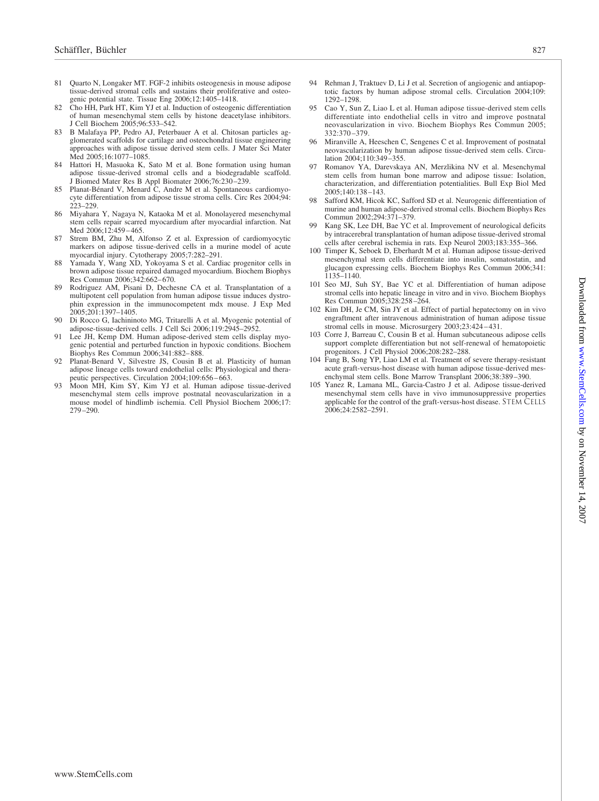- 81 Quarto N, Longaker MT. FGF-2 inhibits osteogenesis in mouse adipose tissue-derived stromal cells and sustains their proliferative and osteogenic potential state. Tissue Eng 2006;12:1405–1418.
- 82 Cho HH, Park HT, Kim YJ et al. Induction of osteogenic differentiation of human mesenchymal stem cells by histone deacetylase inhibitors. J Cell Biochem 2005;96:533–542.
- 83 B Malafaya PP, Pedro AJ, Peterbauer A et al. Chitosan particles agglomerated scaffolds for cartilage and osteochondral tissue engineering approaches with adipose tissue derived stem cells. J Mater Sci Mater Med 2005;16:1077–1085.
- 84 Hattori H, Masuoka K, Sato M et al. Bone formation using human adipose tissue-derived stromal cells and a biodegradable scaffold. J Biomed Mater Res B Appl Biomater 2006;76:230–239.
- 85 Planat-Bénard V, Menard C, Andre M et al. Spontaneous cardiomyocyte differentiation from adipose tissue stroma cells. Circ Res 2004;94: 223–229.
- 86 Miyahara Y, Nagaya N, Kataoka M et al. Monolayered mesenchymal stem cells repair scarred myocardium after myocardial infarction. Nat Med 2006;12:459–465.
- 87 Strem BM, Zhu M, Alfonso Z et al. Expression of cardiomyocytic markers on adipose tissue-derived cells in a murine model of acute myocardial injury. Cytotherapy 2005;7:282–291.
- 88 Yamada Y, Wang XD, Yokoyama S et al. Cardiac progenitor cells in brown adipose tissue repaired damaged myocardium. Biochem Biophys Res Commun 2006;342:662–670.
- 89 Rodriguez AM, Pisani D, Dechesne CA et al. Transplantation of a multipotent cell population from human adipose tissue induces dystrophin expression in the immunocompetent mdx mouse. J Exp Med 2005;201:1397–1405.
- 90 Di Rocco G, Iachininoto MG, Tritarelli A et al. Myogenic potential of adipose-tissue-derived cells. J Cell Sci 2006;119:2945–2952.
- Lee JH, Kemp DM. Human adipose-derived stem cells display myogenic potential and perturbed function in hypoxic conditions. Biochem Biophys Res Commun 2006;341:882–888.
- 92 Planat-Benard V, Silvestre JS, Cousin B et al. Plasticity of human adipose lineage cells toward endothelial cells: Physiological and therapeutic perspectives. Circulation 2004;109:656–663.
- 93 Moon MH, Kim SY, Kim YJ et al. Human adipose tissue-derived<br>93 Moon MH, Kim SY, Kim YJ et al. Human adipose tissue-derived mesenchymal stem cells improve postnatal neovascularization in a mouse model of hindlimb ischemia. Cell Physiol Biochem 2006;17: 279–290.
- 94 Rehman J, Traktuev D, Li J et al. Secretion of angiogenic and antiapoptotic factors by human adipose stromal cells. Circulation 2004;109: 1292–1298.
- 95 Cao Y, Sun Z, Liao L et al. Human adipose tissue-derived stem cells differentiate into endothelial cells in vitro and improve postnatal neovascularization in vivo. Biochem Biophys Res Commun 2005; 332:370–379.
- 96 Miranville A, Heeschen C, Sengenes C et al. Improvement of postnatal neovascularization by human adipose tissue-derived stem cells. Circulation 2004;110:349–355.
- 97 Romanov YA, Darevskaya AN, Merzlikina NV et al. Mesenchymal stem cells from human bone marrow and adipose tissue: Isolation, characterization, and differentiation potentialities. Bull Exp Biol Med 2005;140:138–143.
- 98 Safford KM, Hicok KC, Safford SD et al. Neurogenic differentiation of murine and human adipose-derived stromal cells. Biochem Biophys Res Commun 2002;294:371–379.
- 99 Kang SK, Lee DH, Bae YC et al. Improvement of neurological deficits by intracerebral transplantation of human adipose tissue-derived stromal cells after cerebral ischemia in rats. Exp Neurol 2003;183:355–366.
- 100 Timper K, Seboek D, Eberhardt M et al. Human adipose tissue-derived mesenchymal stem cells differentiate into insulin, somatostatin, and glucagon expressing cells. Biochem Biophys Res Commun 2006;341: 1135–1140.
- 101 Seo MJ, Suh SY, Bae YC et al. Differentiation of human adipose stromal cells into hepatic lineage in vitro and in vivo. Biochem Biophys Res Commun 2005;328:258–264.
- 102 Kim DH, Je CM, Sin JY et al. Effect of partial hepatectomy on in vivo engraftment after intravenous administration of human adipose tissue stromal cells in mouse. Microsurgery 2003;23:424–431.
- 103 Corre J, Barreau C, Cousin B et al. Human subcutaneous adipose cells support complete differentiation but not self-renewal of hematopoietic progenitors. J Cell Physiol 2006;208:282–288.
- 104 Fang B, Song YP, Liao LM et al. Treatment of severe therapy-resistant acute graft-versus-host disease with human adipose tissue-derived mesenchymal stem cells. Bone Marrow Transplant 2006;38:389–390.
- 105 Yanez R, Lamana ML, Garcia-Castro J et al. Adipose tissue-derived mesenchymal stem cells have in vivo immunosuppressive properties applicable for the control of the graft-versus-host disease. STEM CELLS 2006;24:2582–2591.